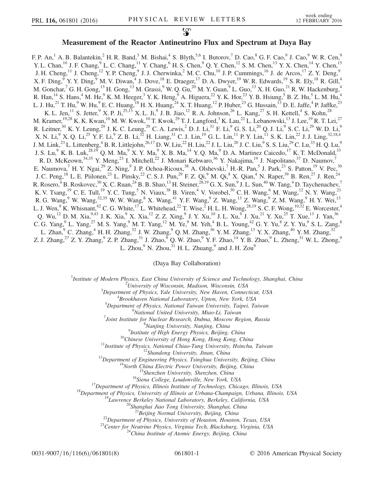## Measurement of the Reactor Antineutrino Flux and Spectrum at Daya Bay

F. P. An,<sup>1</sup> A. B. Balantekin,<sup>2</sup> H. R. Band,<sup>3</sup> M. Bishai,<sup>4</sup> S. Blyth,<sup>5,6</sup> I. Butorov,<sup>7</sup> D. Cao,<sup>8</sup> G. F. Cao,<sup>9</sup> J. Cao,<sup>9</sup> W. R. Cen,<sup>9</sup> Y. L. Chan,<sup>10</sup> J. F. Chang,<sup>9</sup> L. C. Chang,<sup>11</sup> Y. Chang,<sup>6</sup> H. S. Chen,<sup>9</sup> Q. Y. Chen,<sup>12</sup> S. M. Chen,<sup>13</sup> Y. X. Chen,<sup>14</sup> Y. Chen,<sup>15</sup> J. H. Cheng,<sup>11</sup> J. Cheng,<sup>12</sup> Y. P. Cheng,<sup>9</sup> J. J. Cherwinka,<sup>2</sup> M. C. Chu,<sup>10</sup> J. P. Cummings,<sup>16</sup> J. de Arcos,<sup>17</sup> Z. Y. Deng,<sup>9</sup> X. F. Ding,  $9$  Y. Y. Ding,  $9$  M. V. Diwan,  $4$  J. Dove,  $^{18}$  E. Draeger,  $^{17}$  D. A. Dwyer,  $^{19}$  W. R. Edwards,  $^{19}$  S. R. Ely,  $^{18}$  R. Gill,  $^{4}$ M. Gonchar,  $^7$  G. H. Gong,  $^{13}$  H. Gong,  $^{13}$  M. Grassi,  $^9$  W. Q. Gu,  $^{20}$  M. Y. Guan,  $^9$  L. Guo,  $^{13}$  X. H. Guo,  $^{21}$  R. W. Hackenburg,  $^4$ R. Han,<sup>14</sup> S. Hans,<sup>4</sup> M. He,<sup>9</sup> K. M. Heeger,<sup>3</sup> Y. K. Heng,<sup>9</sup> A. Higuera,<sup>22</sup> Y. K. Hor,<sup>23</sup> Y. B. Hsiung,<sup>5</sup> B. Z. Hu,<sup>5</sup> L. M. Hu,<sup>4</sup> L. J. Hu,<sup>21</sup> T. Hu,<sup>9</sup> W. Hu,<sup>9</sup> E. C. Huang,<sup>18</sup> H. X. Huang,<sup>24</sup> X. T. Huang,<sup>12</sup> P. Huber,<sup>23</sup> G. Hussain,<sup>13</sup> D. E. Jaffe,<sup>4</sup> P. Jaffke,<sup>23</sup> K. L. Jen,<sup>11</sup> S. Jetter,  $9$  X. P. Ji,<sup>25,13</sup> X. L. Ji,<sup>9</sup> J. B. Jiao,<sup>12</sup> R. A. Johnson,<sup>26</sup> L. Kang,<sup>27</sup> S. H. Kettell,<sup>4</sup> S. Kohn,<sup>28</sup> M. Kramer, $^{19,28}$  K. K. Kwan, $^{10}$  M. W. Kwok, $^{10}$  T. Kwok, $^{29}$  T. J. Langford, $^3$  K. Lau, $^{22}$  L. Lebanowski, $^{13}$  J. Lee, $^{19}$  R. T. Lei, $^{27}$ R. Leitner,<sup>30</sup> K. Y. Leung,<sup>29</sup> J. K. C. Leung,<sup>29</sup> C. A. Lewis,<sup>2</sup> D. J. Li,<sup>31</sup> F. Li,<sup>9</sup> G. S. Li,<sup>20</sup> Q. J. Li,<sup>9</sup> S. C. Li,<sup>29</sup> W. D. Li,<sup>9</sup> X. N. Li, $^{9}$  X. Q. Li, $^{25}$  Y. F. Li, $^{9}$  Z. B. Li, $^{32}$  H. Liang, $^{31}$  C. J. Lin, $^{19}$  G. L. Lin, $^{11}$  P. Y. Lin, $^{11}$  S. K. Lin, $^{22}$  J. J. Ling, $^{32,18,4}$ J. M. Link, $^{23}$  L. Littenberg, $^4$  B. R. Littlejohn, $^{26,17}$  D. W. Liu, $^{22}$  H. Liu, $^{22}$  J. L. Liu, $^{20}$  J. C. Liu, $^9$  S. S. Liu, $^{29}$  C. Lu, $^{33}$  H. Q. Lu, $^9$ J. S. Lu,<sup>9</sup> K. B. Luk,<sup>28,19</sup> Q. M. Ma,<sup>9</sup> X. Y. Ma,<sup>9</sup> X. B. Ma,<sup>14</sup> Y. Q. Ma,<sup>9</sup> D. A. Martinez Caicedo,<sup>17</sup> K. T. McDonald,<sup>33</sup> R. D. McKeown,  $34,35$  Y. Meng,  $23$  I. Mitchell,  $22$  J. Monari Kebwaro,  $36$  Y. Nakajima,  $19$  J. Napolitano,  $37$  D. Naumov,  $7$ E. Naumova,<sup>7</sup> H. Y. Ngai,<sup>29</sup> Z. Ning,<sup>9</sup> J. P. Ochoa-Ricoux,<sup>38</sup> A. Olshevski,<sup>7</sup> H.-R. Pan,<sup>5</sup> J. Park,<sup>23</sup> S. Patton,<sup>19</sup> V. Pec,<sup>30</sup> J. C. Peng,<sup>18</sup> L. E. Piilonen,<sup>23</sup> L. Pinsky,<sup>22</sup> C. S. J. Pun,<sup>29</sup> F. Z. Qi,<sup>9</sup> M. Qi,<sup>8</sup> X. Qian,<sup>4</sup> N. Raper,<sup>39</sup> B. Ren,<sup>27</sup> J. Ren,<sup>24</sup> R. Rosero,<sup>4</sup> B. Roskovec,<sup>30</sup> X. C. Ruan,<sup>24</sup> B. B. Shao,<sup>13</sup> H. Steiner,<sup>28,19</sup> G. X. Sun,<sup>9</sup> J. L. Sun,<sup>40</sup> W. Tang,<sup>4</sup> D. Taychenachev,<sup>7</sup> K. V. Tsang,  $^{19}$  C. E. Tull,  $^{19}$  Y. C. Tung,  $^5$  N. Viaux,  $^{38}$  B. Viren,  $^4$  V. Vorobel,  $^{30}$  C. H. Wang,  $^6$  M. Wang,  $^{12}$  N. Y. Wang,  $^{21}$ R. G. Wang,  $9$  W. Wang,  $32,35$  W. W. Wang,  $8$  X. Wang,  $41$  Y. F. Wang,  $9$  Z. Wang,  $13$  Z. Wang,  $9$  Z. M. Wang,  $9$  H. Y. Wei,  $13$ L. J. Wen,  $9$  K. Whisnant,  $42$  C. G. White,  $17$  L. Whitehead,  $22$  T. Wise,  $2$  H. L. H. Wong,  $28,19$  S. C. F. Wong,  $10,32$  E. Worcester,  $4$ Q. Wu,<sup>12</sup> D. M. Xia,<sup>9,43</sup> J. K. Xia,<sup>9</sup> X. Xia,<sup>12</sup> Z. Z. Xing,<sup>9</sup> J. Y. Xu,<sup>10</sup> J. L. Xu,<sup>9</sup> J. Xu,<sup>21</sup> Y. Xu,<sup>25</sup> T. Xue,<sup>13</sup> J. Yan,<sup>36</sup> C. G. Yang,  $9^9$  L. Yang,  $2^7$  M. S. Yang,  $9^9$  M. T. Yang,  $12^9$  M. Ye,  $9^9$  M. Yeh,  $4^9$  B. L. Young,  $4^2$  G. Y. Yu,  $8^9$  Z. Y. Yu,  $9^9$  S. L. Zang,  $8^8$ L. Zhan,  $9^{\circ}$  C. Zhang,  $^{4}$  H. H. Zhang,  $^{32}$  J. W. Zhang,  $^{9}$  Q. M. Zhang,  $^{36}$  Y. M. Zhang,  $^{13}$  Y. X. Zhang,  $^{40}$  Y. M. Zhang,  $^{32}$ Z. J. Zhang,<sup>27</sup> Z. Y. Zhang,<sup>9</sup> Z. P. Zhang,<sup>31</sup> J. Zhao,<sup>9</sup> Q. W. Zhao,<sup>9</sup> Y. F. Zhao,<sup>14</sup> Y. B. Zhao,<sup>9</sup> L. Zheng,<sup>31</sup> W. L. Zhong,<sup>9</sup> L. Zhou, $9^9$  N. Zhou, $3^1$  H. L. Zhuang, $9^9$  and J. H. Zou $9^9$ 

(Daya Bay Collaboration)

<sup>1</sup>Institute of Modern Physics, East China University of Science and Technology, Shanghai, China

 $^{2}$ University of Wisconsin, Madison, Wisconsin, USA

 $3$ Department of Physics, Yale University, New Haven, Connecticut, USA

<sup>4</sup>Brookhaven National Laboratory, Upton, New York, USA

 $5$ Department of Physics, National Taiwan University, Taipei, Taiwan

<sup>6</sup>National United University, Miao-Li, Taiwan

 $\sigma$ Joint Institute for Nuclear Research, Dubna, Moscow Region, Russia

<sup>8</sup>Nanjing University, Nanjing, China<br><sup>9</sup>Institute of High Energy Physics, Beijing, China

<sup>11</sup>Institute of High Energy Physics, Beijing, China<br><sup>10</sup>Chinese University of Hong Kong, Hong Kong, China<br><sup>11</sup>Institute of Physics, National Chiao-Tung University, Hisinchu, Taiwan<br><sup>12</sup>Institute of Physics, National Chiao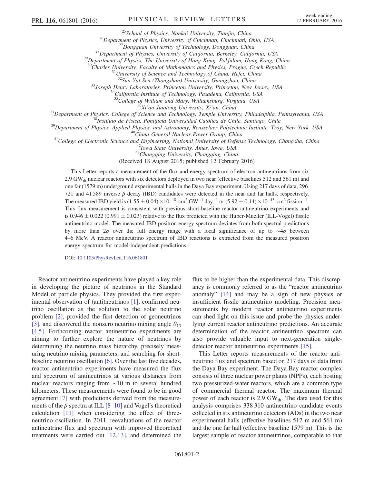<sup>25</sup>School of Physics, Nankai University, Tianjin, China<br><sup>26</sup>Department of Physics, University of Cincinnati, Cincinnati, Ohio, USA<br><sup>27</sup>Dongguan University of Technology, Dongguan, China<br><sup>28</sup>Department of Physics, Univers

<sup>30</sup>Charles University, Faculty of Mathematics and Physics, Prague, Czech Republic  $31$ University of Science and Technology of China, Hefei, China  $32$ Sun Yat-Sen (Zhongshan) University, Guangzhou, China

<sup>33</sup>Joseph Henry Laboratories, Princeton University, Princeton, New Jersey, USA<br><sup>34</sup>California Institute of Technology, Pasadena, California, USA<br><sup>35</sup>College of William and Mary, Williamsburg, Virginia, USA

<sup>37</sup>Department of Physics, College of Science and Technology, Temple University, Philadelphia, Pennsylvania, USA<br><sup>38</sup>Instituto de Física, Pontificia Universidad Católica de Chile, Santiago, Chile<br><sup>39</sup>Department of Physics

(Received 18 August 2015; published 12 February 2016)

This Letter reports a measurement of the flux and energy spectrum of electron antineutrinos from six 2.9 GW<sub>th</sub> nuclear reactors with six detectors deployed in two near (effective baselines 512 and 561 m) and one far (1579 m) underground experimental halls in the Daya Bay experiment. Using 217 days of data, 296 721 and 41 589 inverse  $\beta$  decay (IBD) candidates were detected in the near and far halls, respectively. The measured IBD yield is  $(1.55 \pm 0.04) \times 10^{-18}$  cm<sup>2</sup> GW<sup>-1</sup> day<sup>-1</sup> or  $(5.92 \pm 0.14) \times 10^{-43}$  cm<sup>2</sup> fission<sup>-1</sup>. This flux measurement is consistent with previous short-baseline reactor antineutrino experiments and is 0.946  $\pm$  0.022 (0.991  $\pm$  0.023) relative to the flux predicted with the Huber-Mueller (ILL-Vogel) fissile antineutrino model. The measured IBD positron energy spectrum deviates from both spectral predictions by more than  $2\sigma$  over the full energy range with a local significance of up to ~4 $\sigma$  between 4–6 MeV. A reactor antineutrino spectrum of IBD reactions is extracted from the measured positron energy spectrum for model-independent predictions.

DOI: [10.1103/PhysRevLett.116.061801](http://dx.doi.org/10.1103/PhysRevLett.116.061801)

Reactor antineutrino experiments have played a key role in developing the picture of neutrinos in the Standard Model of particle physics. They provided the first exper-imental observation of (anti)neutrinos [\[1\],](#page-6-0) confirmed neutrino oscillation as the solution to the solar neutrino problem [\[2\],](#page-6-1) provided the first detection of geoneutrinos [\[3\]](#page-6-2), and discovered the nonzero neutrino mixing angle  $\theta_{13}$ [\[4,5\].](#page-6-3) Forthcoming reactor antineutrino experiments are aiming to further explore the nature of neutrinos by determining the neutrino mass hierarchy, precisely measuring neutrino mixing parameters, and searching for shortbaseline neutrino oscillation [\[6\]](#page-6-4). Over the last five decades, reactor antineutrino experiments have measured the flux and spectrum of antineutrinos at various distances from nuclear reactors ranging from ∼10 m to several hundred kilometers. These measurements were found to be in good agreement [\[7\]](#page-6-5) with predictions derived from the measurements of the  $\beta$  spectra at ILL [8–[10\]](#page-6-6) and Vogel's theoretical calculation [\[11\]](#page-7-0) when considering the effect of threeneutrino oscillation. In 2011, reevaluations of the reactor antineutrino flux and spectrum with improved theoretical treatments were carried out [\[12,13\]](#page-7-1), and determined the flux to be higher than the experimental data. This discrepancy is commonly referred to as the "reactor antineutrino anomaly" [\[14\]](#page-7-2) and may be a sign of new physics or insufficient fissile antineutrino modeling. Precision measurements by modern reactor antineutrino experiments can shed light on this issue and probe the physics underlying current reactor antineutrino predictions. An accurate determination of the reactor antineutrino spectrum can also provide valuable input to next-generation singledetector reactor antineutrino experiments [\[15\]](#page-7-3).

This Letter reports measurements of the reactor antineutrino flux and spectrum based on 217 days of data from the Daya Bay experiment. The Daya Bay reactor complex consists of three nuclear power plants (NPPs), each hosting two pressurized-water reactors, which are a common type of commercial thermal reactor. The maximum thermal power of each reactor is 2.9 GW $_{\text{th}}$ . The data used for this analysis comprises 338 310 antineutrino candidate events collected in six antineutrino detectors (ADs) in the two near experimental halls (effective baselines 512 m and 561 m) and the one far hall (effective baseline 1579 m). This is the largest sample of reactor antineutrinos, comparable to that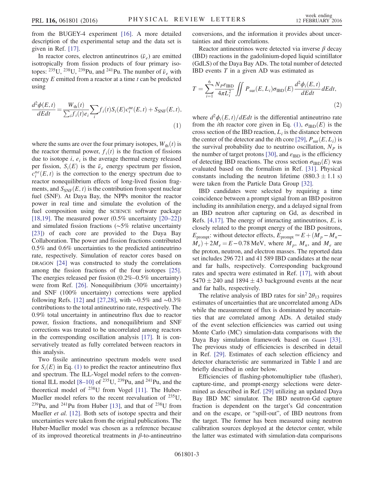from the BUGEY-4 experiment [\[16\]](#page-7-4). A more detailed description of the experimental setup and the data set is given in Ref. [\[17\].](#page-7-5)

In reactor cores, electron antineutrinos  $(\bar{\nu}_e)$  are emitted isotropically from fission products of four primary isotopes:  $^{235}$ U,  $^{238}$ U,  $^{239}$ Pu, and  $^{241}$ Pu. The number of  $\bar{\nu}_e$  with energy  $E$  emitted from a reactor at a time  $t$  can be predicted using

<span id="page-2-0"></span>
$$
\frac{d^2\phi(E,t)}{dEdt} = \frac{W_{\text{th}}(t)}{\sum_i f_i(t)e_i} \sum_i f_i(t)S_i(E)c_i^{\text{ne}}(E,t) + S_{\text{SNF}}(E,t),\tag{1}
$$

where the sums are over the four primary isotopes,  $W_{\text{th}}(t)$  is the reactor thermal power,  $f_i(t)$  is the fraction of fissions due to isotope  $i, e_i$  is the average thermal energy released per fission,  $S_i(E)$  is the  $\bar{\nu}_e$  energy spectrum per fission,  $c_i^{ne}(E, t)$  is the correction to the energy spectrum due to reactor nonequilibrium effects of long-lived fission fragments, and  $S_{SNF}(E, t)$  is the contribution from spent nuclear fuel (SNF). At Daya Bay, the NPPs monitor the reactor power in real time and simulate the evolution of the fuel composition using the SCIENCE software package [\[18,19\]](#page-7-6). The measured power  $(0.5\%$  uncertainty [20–[22\]\)](#page-7-7) and simulated fission fractions (∼5% relative uncertainty [\[23\]](#page-7-8)) of each core are provided to the Daya Bay Collaboration. The power and fission fractions contributed 0.5% and 0.6% uncertainties to the predicted antineutrino rate, respectively. Simulation of reactor cores based on DRAGON [\[24\]](#page-7-9) was constructed to study the correlations among the fission fractions of the four isotopes [\[25\]](#page-7-10). The energies released per fission (0.2%–0.5% uncertainty) were from Ref. [\[26\]](#page-7-11). Nonequilibrium (30% uncertainty) and SNF (100% uncertainty) corrections were applied following Refs. [\[12\]](#page-7-1) and [\[27,28\],](#page-7-12) with ∼0.5% and ∼0.3% contributions to the total antineutrino rate, respectively. The 0.9% total uncertainty in antineutrino flux due to reactor power, fission fractions, and nonequilibrium and SNF corrections was treated to be uncorrelated among reactors in the corresponding oscillation analysis [\[17\]](#page-7-5). It is conservatively treated as fully correlated between reactors in this analysis.

Two fissile antineutrino spectrum models were used for  $S_i(E)$  in Eq. [\(1\)](#page-2-0) to predict the reactor antineutrino flux and spectrum. The ILL-Vogel model refers to the conventional ILL model  $[8-10]$  $[8-10]$  of <sup>235</sup>U, <sup>239</sup>Pu, and <sup>241</sup>Pu, and the theoretical model of  $^{238}$ U from Vogel [\[11\]](#page-7-0). The Huber-Mueller model refers to the recent reevaluation of  $^{235}$ U, <sup>239</sup>Pu, and <sup>241</sup>Pu from Huber [\[13\]](#page-7-13), and that of <sup>238</sup>U from Mueller et al. [\[12\]](#page-7-1). Both sets of isotope spectra and their uncertainties were taken from the original publications. The Huber-Mueller model was chosen as a reference because of its improved theoretical treatments in  $\beta$ -to-antineutrino conversions, and the information it provides about uncertainties and their correlations.

Reactor antineutrinos were detected via inverse  $\beta$  decay (IBD) reactions in the gadolinium-doped liquid scintillator (GdLS) of the Daya Bay ADs. The total number of detected IBD events  $T$  in a given AD was estimated as

<span id="page-2-1"></span>
$$
T = \sum_{i=1}^{6} \frac{N_P \varepsilon_{\text{IBD}}}{4\pi L_i^2} \iint P_{\text{sur}}(E, L_i) \sigma_{\text{IBD}}(E) \frac{d^2 \phi_i(E, t)}{dE dt} dE dt,
$$
\n(2)

where  $d^2\phi_i(E, t)/dEdt$  is the differential antineutrino rate from the *i*th reactor core given in Eq. [\(1\),](#page-2-0)  $\sigma_{IBD}(E)$  is the cross section of the IBD reaction,  $L_i$  is the distance between the center of the detector and the *i*th core [\[29\],](#page-7-14)  $P_{\text{sur}}(E, L_i)$  is the survival probability due to neutrino oscillation,  $N_P$  is the number of target protons [\[30\]](#page-7-15), and  $\varepsilon_{IBD}$  is the efficiency of detecting IBD reactions. The cross section  $\sigma_{IBD}(E)$  was evaluated based on the formalism in Ref. [\[31\].](#page-7-16) Physical constants including the neutron lifetime  $(880.3 \pm 1.1 \text{ s})$ were taken from the Particle Data Group [\[32\].](#page-7-17)

IBD candidates were selected by requiring a time coincidence between a prompt signal from an IBD positron including its annihilation energy, and a delayed signal from an IBD neutron after capturing on Gd, as described in Refs.  $[4,17]$ . The energy of interacting antineutrinos, E, is closely related to the prompt energy of the IBD positrons,  $E_{\text{prompt}}$ : without detector effects,  $E_{\text{prompt}} \simeq E + (M_p - M_n M_e$  + 2 $M_e$  = E – 0.78 MeV, where  $M_p$ ,  $M_n$ , and  $M_e$  are the proton, neutron, and electron masses. The reported data set includes 296 721 and 41 589 IBD candidates at the near and far halls, respectively. Corresponding background rates and spectra were estimated in Ref. [\[17\]](#page-7-5), with about  $5470 \pm 240$  and  $1894 \pm 43$  background events at the near and far halls, respectively.

The relative analysis of IBD rates for  $\sin^2 2\theta_{13}$  requires estimates of uncertainties that are uncorrelated among ADs while the measurement of flux is dominated by uncertainties that are correlated among ADs. A detailed study of the event selection efficiencies was carried out using Monte Carlo (MC) simulation-data comparisons with the Daya Bay simulation framework based on Geant4 [\[33\]](#page-7-18). The previous study of efficiencies is described in detail in Ref. [\[29\].](#page-7-14) Estimates of each selection efficiency and detector characteristic are summarized in Table [I](#page-3-0) and are briefly described in order below.

Efficiencies of flashing-photomultiplier tube (flasher), capture-time, and prompt-energy selections were determined as described in Ref. [\[29\]](#page-7-14) utilizing an updated Daya Bay IBD MC simulator. The IBD neutron-Gd capture fraction is dependent on the target's Gd concentration and on the escape, or "spill-out", of IBD neutrons from the target. The former has been measured using neutron calibration sources deployed at the detector center, while the latter was estimated with simulation-data comparisons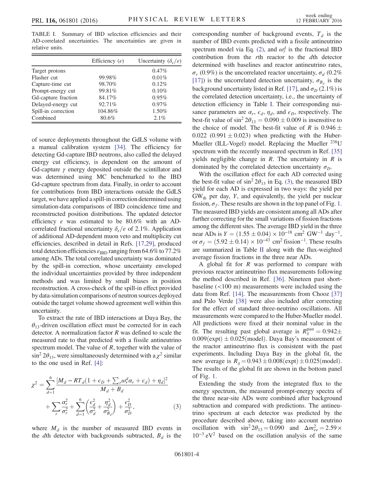<span id="page-3-0"></span>TABLE I. Summary of IBD selection efficiencies and their AD-correlated uncertainties. The uncertainties are given in relative units.

|                     | Efficiency $(\varepsilon)$ | Uncertainty $(\delta_{\varepsilon}/\varepsilon)$ |
|---------------------|----------------------------|--------------------------------------------------|
| Target protons      |                            | 0.47%                                            |
| Flasher cut         | 99.98%                     | 0.01%                                            |
| Capture-time cut    | 98.70%                     | 0.12%                                            |
| Prompt-energy cut   | 99.81%                     | 0.10%                                            |
| Gd-capture fraction | 84.17%                     | 0.95%                                            |
| Delayed-energy cut  | 92.71%                     | 0.97%                                            |
| Spill-in correction | 104.86%                    | 1.50%                                            |
| Combined            | 80.6%                      | $2.1\%$                                          |

of source deployments throughout the GdLS volume with a manual calibration system [\[34\].](#page-7-19) The efficiency for detecting Gd-capture IBD neutrons, also called the delayed energy cut efficiency, is dependent on the amount of Gd-capture  $\gamma$  energy deposited outside the scintillator and was determined using MC benchmarked to the IBD Gd-capture spectrum from data. Finally, in order to account for contributions from IBD interactions outside the GdLS target, we have applied a spill-in correction determined using simulation-data comparisons of IBD coincidence time and reconstructed position distributions. The updated detector efficiency  $\varepsilon$  was estimated to be 80.6% with an ADcorrelated fractional uncertainty  $\delta_{\epsilon}/\epsilon$  of 2.1%. Application of additional AD-dependent muon veto and multiplicity cut efficiencies, described in detail in Refs. [\[17,29\]](#page-7-5), produced total detection efficiencies  $\varepsilon_{\text{IBD}}$  ranging from 64.6% to 77.2% among ADs. The total correlated uncertainty was dominated by the spill-in correction, whose uncertainty enveloped the individual uncertainties provided by three independent methods and was limited by small biases in position reconstruction. A cross-check of the spill-in effect provided by data-simulation comparisons of neutron sources deployed outside the target volume showed agreement well within this uncertainty.

To extract the rate of IBD interactions at Daya Bay, the  $\theta_{13}$ -driven oscillation effect must be corrected for in each detector. A normalization factor  $R$  was defined to scale the measured rate to that predicted with a fissile antineutrino spectrum model. The value of  $R$ , together with the value of  $\sin^2 2\theta_{13}$ , were simultaneously determined with a  $\chi^2$  similar to the one used in Ref. [\[4\]:](#page-6-3)

<span id="page-3-1"></span>
$$
\chi^{2} = \sum_{d=1}^{6} \frac{[M_{d} - RT_{d}(1 + \epsilon_{D} + \sum_{r} \omega_{r}^{d} \alpha_{r} + \epsilon_{d}) + \eta_{d}]^{2}}{M_{d} + B_{d}} + \sum_{r} \frac{\alpha_{r}^{2}}{\sigma_{r}^{2}} + \sum_{d=1}^{6} \left(\frac{\epsilon_{d}^{2}}{\sigma_{d}^{2}} + \frac{\eta_{d}^{2}}{\sigma_{d}^{2}}\right) + \frac{\epsilon_{D}^{2}}{\sigma_{D}^{2}},
$$
(3)

where  $M_d$  is the number of measured IBD events in the *d*th detector with backgrounds subtracted,  $B_d$  is the corresponding number of background events,  $T_d$  is the number of IBD events predicted with a fissile antineutrino spectrum model via Eq. [\(2\)](#page-2-1), and  $\omega_r^d$  is the fractional IBD contribution from the rth reactor to the dth detector determined with baselines and reactor antineutrino rates,  $\sigma_r$  (0.9%) is the uncorrelated reactor uncertainty,  $\sigma_d$  (0.2%) [\[17\]](#page-7-5)) is the uncorrelated detection uncertainty,  $\sigma_{B_d}$  is the background uncertainty listed in Ref. [\[17\],](#page-7-5) and  $\sigma_D$  (2.1%) is the correlated detection uncertainty, i.e., the uncertainty of detection efficiency in Table [I.](#page-3-0) Their corresponding nuisance parameters are  $\alpha_r$ ,  $\epsilon_d$ ,  $\eta_d$ , and  $\epsilon_D$ , respectively. The best-fit value of  $\sin^2 2\theta_{13} = 0.090 \pm 0.009$  is insensitive to the choice of model. The best-fit value of R is  $0.946 \pm$ 0.022 (0.991  $\pm$  0.023) when predicting with the Huber-Mueller (ILL-Vogel) model. Replacing the Mueller <sup>238</sup>U spectrum with the recently measured spectrum in Ref. [\[35\]](#page-7-20) yields negligible change in  $R$ . The uncertainty in  $R$  is dominated by the correlated detection uncertainty  $\sigma_D$ .

With the oscillation effect for each AD corrected using the best-fit value of  $\sin^2 2\theta_{13}$  in Eq. [\(3\)](#page-3-1), the measured IBD yield for each AD is expressed in two ways: the yield per  $GW<sub>th</sub>$  per day, Y, and equivalently, the yield per nuclear fission,  $\sigma_f$ . These results are shown in the top panel of Fig. [1](#page-4-0). The measured IBD yields are consistent among all ADs after further correcting for the small variations of fission fractions among the different sites. The average IBD yield in the three near ADs is  $Y = (1.55 \pm 0.04) \times 10^{-18}$  cm<sup>2</sup> GW<sup>-1</sup> day<sup>-1</sup>, or  $\sigma_f = (5.92 \pm 0.14) \times 10^{-43}$  cm<sup>2</sup> fission<sup>-1</sup>. These results are summarized in Table [II](#page-4-1) along with the flux-weighted average fission fractions in the three near ADs.

A global fit for  $R$  was performed to compare with previous reactor antineutrino flux measurements following the method described in Ref. [\[36\]](#page-7-21). Nineteen past shortbaseline (<100 m) measurements were included using the data from Ref. [\[14\]](#page-7-2). The measurements from Chooz [\[37\]](#page-7-22) and Palo Verde [\[38\]](#page-7-23) were also included after correcting for the effect of standard three-neutrino oscillations. All measurements were compared to the Huber-Mueller model. All predictions were fixed at their nominal value in the fit. The resulting past global average is  $R_g^{\text{past}} = 0.942 \pm 0.962$  $0.009$ (expt)  $\pm 0.025$ (model). Daya Bay's measurement of the reactor antineutrino flux is consistent with the past experiments. Including Daya Bay in the global fit, the new average is  $R_q = 0.943 \pm 0.008$ (expt)  $\pm 0.025$ (model). The results of the global fit are shown in the bottom panel of Fig. [1.](#page-4-0)

Extending the study from the integrated flux to the energy spectrum, the measured prompt-energy spectra of the three near-site ADs were combined after background subtraction and compared with predictions. The antineutrino spectrum at each detector was predicted by the procedure described above, taking into account neutrino oscillation with  $\sin^2 2\theta_{13} = 0.090$  and  $\Delta m_{ee}^2 = 2.59 \times$ 10<sup>−</sup><sup>3</sup> eV<sup>2</sup> based on the oscillation analysis of the same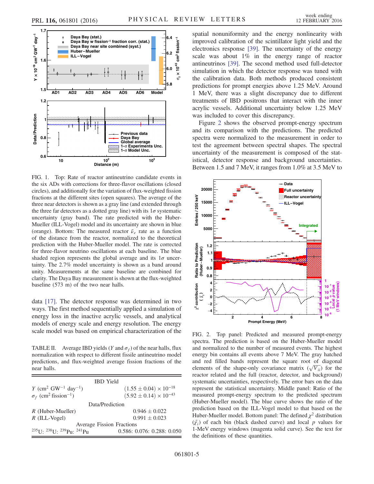<span id="page-4-0"></span>

FIG. 1. Top: Rate of reactor antineutrino candidate events in the six ADs with corrections for three-flavor oscillations (closed circles), and additionally for the variation of flux-weighted fission fractions at the different sites (open squares). The average of the three near detectors is shown as a gray line (and extended through the three far detectors as a dotted gray line) with its  $1\sigma$  systematic uncertainty (gray band). The rate predicted with the Huber-Mueller (ILL-Vogel) model and its uncertainty are shown in blue (orange). Bottom: The measured reactor  $\bar{\nu}_e$  rate as a function of the distance from the reactor, normalized to the theoretical prediction with the Huber-Mueller model. The rate is corrected for three-flavor neutrino oscillations at each baseline. The blue shaded region represents the global average and its  $1\sigma$  uncertainty. The 2.7% model uncertainty is shown as a band around unity. Measurements at the same baseline are combined for clarity. The Daya Bay measurement is shown at the flux-weighted baseline (573 m) of the two near halls.

data [\[17\].](#page-7-5) The detector response was determined in two ways. The first method sequentially applied a simulation of energy loss in the inactive acrylic vessels, and analytical models of energy scale and energy resolution. The energy scale model was based on empirical characterization of the

<span id="page-4-1"></span>TABLE II. Average IBD yields (Y and  $\sigma_f$ ) of the near halls, flux normalization with respect to different fissile antineutrino model predictions, and flux-weighted average fission fractions of the near halls.

| <b>IBD</b> Yield                                                        |                                   |  |  |
|-------------------------------------------------------------------------|-----------------------------------|--|--|
| $Y$ (cm <sup>2</sup> GW <sup>-1</sup> day <sup>-1</sup> )               | $(1.55 \pm 0.04) \times 10^{-18}$ |  |  |
| $\sigma_f$ (cm <sup>2</sup> fission <sup>-1</sup> )                     | $(5.92 \pm 0.14) \times 10^{-43}$ |  |  |
| Data/Prediction                                                         |                                   |  |  |
| R (Huber-Mueller)                                                       | $0.946 \pm 0.022$                 |  |  |
| $R$ (ILL-Vogel)                                                         | $0.991 \pm 0.023$                 |  |  |
| <b>Average Fission Fractions</b>                                        |                                   |  |  |
| 235 [J. 238 [J. 239 <b>P</b> <sub>11</sub> . 241 <b>P</b> <sub>11</sub> | 0.586: 0.076: 0.288: 0.050        |  |  |

spatial nonuniformity and the energy nonlinearity with improved calibration of the scintillator light yield and the electronics response [\[39\]](#page-7-24). The uncertainty of the energy scale was about 1% in the energy range of reactor antineutrinos [\[39\].](#page-7-24) The second method used full-detector simulation in which the detector response was tuned with the calibration data. Both methods produced consistent predictions for prompt energies above 1.25 MeV. Around 1 MeV, there was a slight discrepancy due to different treatments of IBD positrons that interact with the inner acrylic vessels. Additional uncertainty below 1.25 MeV was included to cover this discrepancy.

Figure [2](#page-4-2) shows the observed prompt-energy spectrum and its comparison with the predictions. The predicted spectra were normalized to the measurement in order to test the agreement between spectral shapes. The spectral uncertainty of the measurement is composed of the statistical, detector response and background uncertainties. Between 1.5 and 7 MeV, it ranges from 1.0% at 3.5 MeV to

<span id="page-4-2"></span>

FIG. 2. Top panel: Predicted and measured prompt-energy spectra. The prediction is based on the Huber-Mueller model and normalized to the number of measured events. The highest energy bin contains all events above 7 MeV. The gray hatched and red filled bands represent the square root of diagonal elements of the shape-only covariance matrix  $(\sqrt{V_{ii}})$  for the reactor related and the full (reactor, detector, and background) systematic uncertainties, respectively. The error bars on the data represent the statistical uncertainty. Middle panel: Ratio of the measured prompt-energy spectrum to the predicted spectrum (Huber-Mueller model). The blue curve shows the ratio of the prediction based on the ILL-Vogel model to that based on the Huber-Mueller model. Bottom panel: The defined  $\chi^2$  distribution  $(\tilde{\chi}_i)$  of each bin (black dashed curve) and local p values for 1-MeV energy windows (magenta solid curve). See the text for the definitions of these quantities.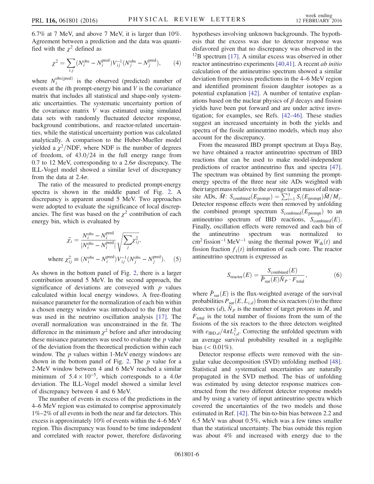6.7% at 7 MeV, and above 7 MeV, it is larger than 10%. Agreement between a prediction and the data was quantified with the  $\chi^2$  defined as

$$
\chi^2 = \sum_{i,j} (N_i^{\text{obs}} - N_i^{\text{pred}}) V_{ij}^{-1} (N_j^{\text{obs}} - N_j^{\text{pred}}), \tag{4}
$$

where  $N_i^{\text{obs(pred)}}$  is the observed (predicted) number of events at the ith prompt-energy bin and V is the covariance matrix that includes all statistical and shape-only systematic uncertainties. The systematic uncertainty portion of the covariance matrix V was estimated using simulated data sets with randomly fluctuated detector response, background contributions, and reactor-related uncertainties, while the statistical uncertainty portion was calculated analytically. A comparison to the Huber-Mueller model yielded a  $\chi^2$ /NDF, where NDF is the number of degrees of freedom, of  $43.0/24$  in the full energy range from 0.7 to 12 MeV, corresponding to a 2.6 $\sigma$  discrepancy. The ILL-Vogel model showed a similar level of discrepancy from the data at  $2.4\sigma$ .

The ratio of the measured to predicted prompt-energy spectra is shown in the middle panel of Fig. [2.](#page-4-2) A discrepancy is apparent around 5 MeV. Two approaches were adopted to evaluate the significance of local discrepancies. The first was based on the  $\chi^2$  contribution of each energy bin, which is evaluated by

$$
\tilde{\chi}_i = \frac{N_i^{\text{obs}} - N_i^{\text{pred}}}{|N_i^{\text{obs}} - N_i^{\text{pred}}|} \sqrt{\sum_j \chi_{ij}^2},
$$
  
where  $\chi_{ij}^2 \equiv (N_i^{\text{obs}} - N_i^{\text{pred}}) V_{ij}^{-1} (N_j^{\text{obs}} - N_j^{\text{pred}}).$  (5)

As shown in the bottom panel of Fig. [2,](#page-4-2) there is a larger contribution around 5 MeV. In the second approach, the significance of deviations are conveyed with  $p$  values calculated within local energy windows. A free-floating nuisance parameter for the normalization of each bin within a chosen energy window was introduced to the fitter that was used in the neutrino oscillation analysis [\[17\]](#page-7-5). The overall normalization was unconstrained in the fit. The difference in the minimum  $\chi^2$  before and after introducing these nuisance parameters was used to evaluate the  $p$  value of the deviation from the theoretical prediction within each window. The  $p$  values within 1-MeV energy windows are shown in the bottom panel of Fig. [2.](#page-4-2) The  $p$  value for a 2-MeV window between 4 and 6 MeV reached a similar minimum of  $5.4 \times 10^{-5}$ , which corresponds to a  $4.0\sigma$ deviation. The ILL-Vogel model showed a similar level of discrepancy between 4 and 6 MeV.

The number of events in excess of the predictions in the 4–6 MeV region was estimated to comprise approximately 1%–2% of all events in both the near and far detectors. This excess is approximately 10% of events within the 4–6 MeV region. This discrepancy was found to be time independent and correlated with reactor power, therefore disfavoring hypotheses involving unknown backgrounds. The hypothesis that the excess was due to detector response was disfavored given that no discrepancy was observed in the  $12B$  spectrum [\[17\].](#page-7-5) A similar excess was observed in other reactor antineutrino experiments [\[40,41\]](#page-7-25). A recent ab initio calculation of the antineutrino spectrum showed a similar deviation from previous predictions in the 4–6 MeV region and identified prominent fission daughter isotopes as a potential explanation [\[42\]](#page-7-26). A number of tentative explanations based on the nuclear physics of  $\beta$  decays and fission yields have been put forward and are under active investigation; for examples, see Refs. [\[42](#page-7-26)–46]. These studies suggest an increased uncertainty in both the yields and spectra of the fissile antineutrino models, which may also account for the discrepancy.

From the measured IBD prompt spectrum at Daya Bay, we have obtained a reactor antineutrino spectrum of IBD reactions that can be used to make model-independent predictions of reactor antineutrino flux and spectra [\[47\]](#page-7-27). The spectrum was obtained by first summing the promptenergy spectra of the three near site ADs weighted with their target mass relative to the average target mass of all nearsite ADs,  $\overline{M}$ : S<sub>combined</sub> $(E_{\text{prompt}}) = \sum_{i=1}^{3} S_i(E_{\text{prompt}}) \overline{M} / M_i$ . Detector response effects were then removed by unfolding the combined prompt spectrum  $S_{\text{combined}}(E_{\text{prompt}})$  to an antineutrino spectrum of IBD reactions,  $S_{\text{combined}}(E)$ . Finally, oscillation effects were removed and each bin of the antineutrino spectrum was normalized to cm<sup>2</sup> fission<sup>-1</sup> MeV<sup>-1</sup> using the thermal power  $W_{th}(t)$  and fission fraction  $f_i(t)$  information of each core. The reactor antineutrino spectrum is expressed as

$$
S_{\text{reactor}}(E) = \frac{S_{\text{combined}}(E)}{\bar{P}_{\text{sur}}(E)\bar{N}_P \cdot F_{\text{total}}},\tag{6}
$$

where  $\bar{P}_{\text{sur}}(E)$  is the flux-weighted average of the survival probabilities  $P_{\text{sur}}(E, L_{i,d})$  from the six reactors (i) to the three detectors (d),  $\bar{N}_P$  is the number of target protons in  $\bar{M}$ , and  $F_{\text{total}}$  is the total number of fissions from the sum of the fissions of the six reactors to the three detectors weighted with  $\varepsilon_{\text{IBD},d}/4\pi L_{i,d}^2$ . Correcting the unfolded spectrum with an average survival probability resulted in a negligible bias  $(< 0.01\%)$ .

Detector response effects were removed with the singular value decomposition (SVD) unfolding method [\[48\]](#page-7-28). Statistical and systematical uncertainties are naturally propagated in the SVD method. The bias of unfolding was estimated by using detector response matrices constructed from the two different detector response models and by using a variety of input antineutrino spectra which covered the uncertainties of the two models and those estimated in Ref. [\[42\]](#page-7-26). The bin-to-bin bias between 2.2 and 6.5 MeV was about 0.5%, which was a few times smaller than the statistical uncertainty. The bias outside this region was about 4% and increased with energy due to the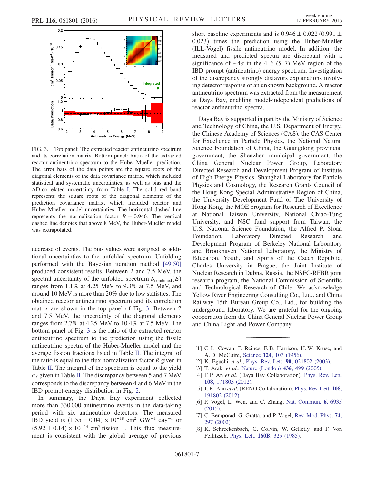<span id="page-6-7"></span>

FIG. 3. Top panel: The extracted reactor antineutrino spectrum and its correlation matrix. Bottom panel: Ratio of the extracted reactor antineutrino spectrum to the Huber-Mueller prediction. The error bars of the data points are the square roots of the diagonal elements of the data covariance matrix, which included statistical and systematic uncertainties, as well as bias and the AD-correlated uncertainty from Table [I.](#page-3-0) The solid red band represents the square roots of the diagonal elements of the prediction covariance matrix, which included reactor and Huber-Mueller model uncertainties. The horizontal dashed line represents the normalization factor  $R = 0.946$ . The vertical dashed line denotes that above 8 MeV, the Huber-Mueller model was extrapolated.

decrease of events. The bias values were assigned as additional uncertainties to the unfolded spectrum. Unfolding performed with the Bayesian iteration method [\[49,50\]](#page-7-29) produced consistent results. Between 2 and 7.5 MeV, the spectral uncertainty of the unfolded spectrum  $S_{\text{combined}}(E)$ ranges from 1.1% at 4.25 MeV to 9.3% at 7.5 MeV, and around 10 MeV is more than 20% due to low statistics. The obtained reactor antineutrino spectrum and its correlation matrix are shown in the top panel of Fig. [3](#page-6-7). Between 2 and 7.5 MeV, the uncertainty of the diagonal elements ranges from 2.7% at 4.25 MeV to 10.4% at 7.5 MeV. The bottom panel of Fig. [3](#page-6-7) is the ratio of the extracted reactor antineutrino spectrum to the prediction using the fissile antineutrino spectra of the Huber-Mueller model and the average fission fractions listed in Table [II](#page-4-1). The integral of the ratio is equal to the flux normalization factor  *given in* Table [II.](#page-4-1) The integral of the spectrum is equal to the yield  $\sigma_f$  given in Table [II.](#page-4-1) The discrepancy between 5 and 7 MeV corresponds to the discrepancy between 4 and 6 MeV in the IBD prompt-energy distribution in Fig. [2](#page-4-2).

In summary, the Daya Bay experiment collected more than 330 000 antineutrino events in the data-taking period with six antineutrino detectors. The measured IBD yield is  $(1.55 \pm 0.04) \times 10^{-18}$  cm<sup>2</sup> GW<sup>-1</sup> day<sup>-1</sup> or  $(5.92 \pm 0.14) \times 10^{-43}$  cm<sup>2</sup> fission<sup>-1</sup>. This flux measurement is consistent with the global average of previous

short baseline experiments and is  $0.946 \pm 0.022$  (0.991  $\pm$ 0.023) times the prediction using the Huber-Mueller (ILL-Vogel) fissile antineutrino model. In addition, the measured and predicted spectra are discrepant with a significance of  $\sim$ 4 $\sigma$  in the 4–6 (5–7) MeV region of the IBD prompt (antineutrino) energy spectrum. Investigation of the discrepancy strongly disfavors explanations involving detector response or an unknown background. A reactor antineutrino spectrum was extracted from the measurement at Daya Bay, enabling model-independent predictions of reactor antineutrino spectra.

Daya Bay is supported in part by the Ministry of Science and Technology of China, the U.S. Department of Energy, the Chinese Academy of Sciences (CAS), the CAS Center for Excellence in Particle Physics, the National Natural Science Foundation of China, the Guangdong provincial government, the Shenzhen municipal government, the China General Nuclear Power Group, Laboratory Directed Research and Development Program of Institute of High Energy Physics, Shanghai Laboratory for Particle Physics and Cosmology, the Research Grants Council of the Hong Kong Special Administrative Region of China, the University Development Fund of The University of Hong Kong, the MOE program for Research of Excellence at National Taiwan University, National Chiao-Tung University, and NSC fund support from Taiwan, the U.S. National Science Foundation, the Alfred P. Sloan Foundation, Laboratory Directed Research and Development Program of Berkeley National Laboratory and Brookhaven National Laboratory, the Ministry of Education, Youth, and Sports of the Czech Republic, Charles University in Prague, the Joint Institute of Nuclear Research in Dubna, Russia, the NSFC-RFBR joint research program, the National Commission of Scientific and Technological Research of Chile. We acknowledge Yellow River Engineering Consulting Co., Ltd., and China Railway 15th Bureau Group Co., Ltd., for building the underground laboratory. We are grateful for the ongoing cooperation from the China General Nuclear Power Group and China Light and Power Company.

- <span id="page-6-0"></span>[1] C. L. Cowan, F. Reines, F. B. Harrison, H. W. Kruse, and A. D. McGuire, Science 124[, 103 \(1956\)](http://dx.doi.org/10.1126/science.124.3212.103).
- <span id="page-6-1"></span>[2] K. Eguchi et al., Phys. Rev. Lett. **90**[, 021802 \(2003\)](http://dx.doi.org/10.1103/PhysRevLett.90.021802).
- <span id="page-6-2"></span>[3] T. Araki et al., [Nature \(London\)](http://dx.doi.org/10.1038/nature03980) 436, 499 (2005).
- <span id="page-6-3"></span>[4] F. P. An et al. (Daya Bay Collaboration), [Phys. Rev. Lett.](http://dx.doi.org/10.1103/PhysRevLett.108.171803) 108[, 171803 \(2012\).](http://dx.doi.org/10.1103/PhysRevLett.108.171803)
- [5] J. K. Ahn et al. (RENO Collaboration), [Phys. Rev. Lett.](http://dx.doi.org/10.1103/PhysRevLett.108.191802) 108, [191802 \(2012\).](http://dx.doi.org/10.1103/PhysRevLett.108.191802)
- <span id="page-6-4"></span>[6] P. Vogel, L. Wen, and C. Zhang, [Nat. Commun.](http://dx.doi.org/10.1038/ncomms7935) 6, 6935 [\(2015\).](http://dx.doi.org/10.1038/ncomms7935)
- <span id="page-6-5"></span>[7] C. Bemporad, G. Gratta, and P. Vogel, [Rev. Mod. Phys.](http://dx.doi.org/10.1103/RevModPhys.74.297) 74, [297 \(2002\)](http://dx.doi.org/10.1103/RevModPhys.74.297).
- <span id="page-6-6"></span>K. Schreckenbach, G. Colvin, W. Gelletly, and F. Von Feilitzsch, Phys. Lett. 160B[, 325 \(1985\).](http://dx.doi.org/10.1016/0370-2693(85)91337-1)